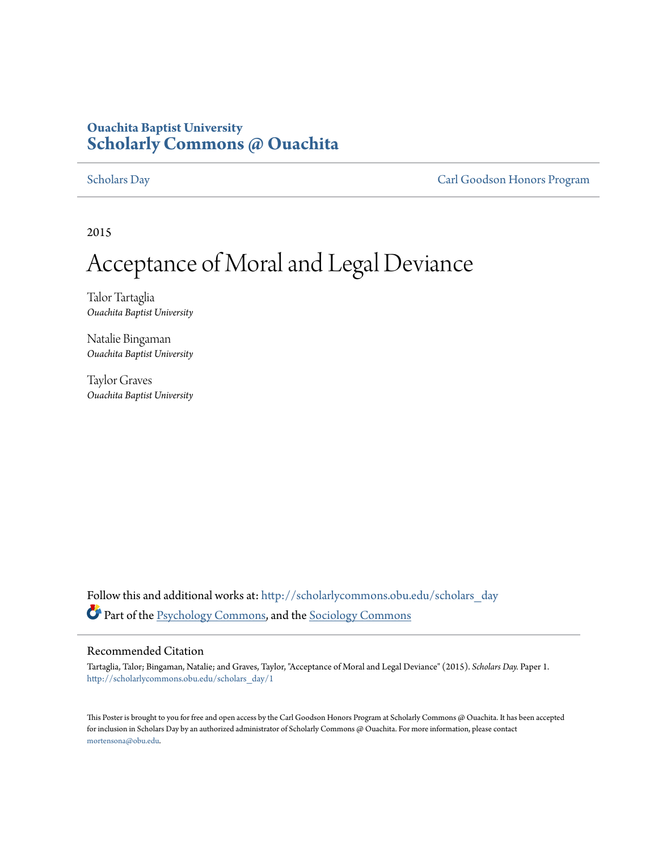## **Ouachita Baptist University [Scholarly Commons @ Ouachita](http://scholarlycommons.obu.edu?utm_source=scholarlycommons.obu.edu%2Fscholars_day%2F1&utm_medium=PDF&utm_campaign=PDFCoverPages)**

[Scholars Day](http://scholarlycommons.obu.edu/scholars_day?utm_source=scholarlycommons.obu.edu%2Fscholars_day%2F1&utm_medium=PDF&utm_campaign=PDFCoverPages) [Carl Goodson Honors Program](http://scholarlycommons.obu.edu/honors?utm_source=scholarlycommons.obu.edu%2Fscholars_day%2F1&utm_medium=PDF&utm_campaign=PDFCoverPages)

2015

## Acceptance of Moral and Legal Deviance

Talor Tartaglia *Ouachita Baptist University*

Natalie Bingaman *Ouachita Baptist University*

Taylor Graves *Ouachita Baptist University*

Follow this and additional works at: [http://scholarlycommons.obu.edu/scholars\\_day](http://scholarlycommons.obu.edu/scholars_day?utm_source=scholarlycommons.obu.edu%2Fscholars_day%2F1&utm_medium=PDF&utm_campaign=PDFCoverPages) Part of the [Psychology Commons](http://network.bepress.com/hgg/discipline/404?utm_source=scholarlycommons.obu.edu%2Fscholars_day%2F1&utm_medium=PDF&utm_campaign=PDFCoverPages), and the [Sociology Commons](http://network.bepress.com/hgg/discipline/416?utm_source=scholarlycommons.obu.edu%2Fscholars_day%2F1&utm_medium=PDF&utm_campaign=PDFCoverPages)

## Recommended Citation

Tartaglia, Talor; Bingaman, Natalie; and Graves, Taylor, "Acceptance of Moral and Legal Deviance" (2015). *Scholars Day.* Paper 1. [http://scholarlycommons.obu.edu/scholars\\_day/1](http://scholarlycommons.obu.edu/scholars_day/1?utm_source=scholarlycommons.obu.edu%2Fscholars_day%2F1&utm_medium=PDF&utm_campaign=PDFCoverPages)

This Poster is brought to you for free and open access by the Carl Goodson Honors Program at Scholarly Commons @ Ouachita. It has been accepted for inclusion in Scholars Day by an authorized administrator of Scholarly Commons @ Ouachita. For more information, please contact [mortensona@obu.edu](mailto:mortensona@obu.edu).